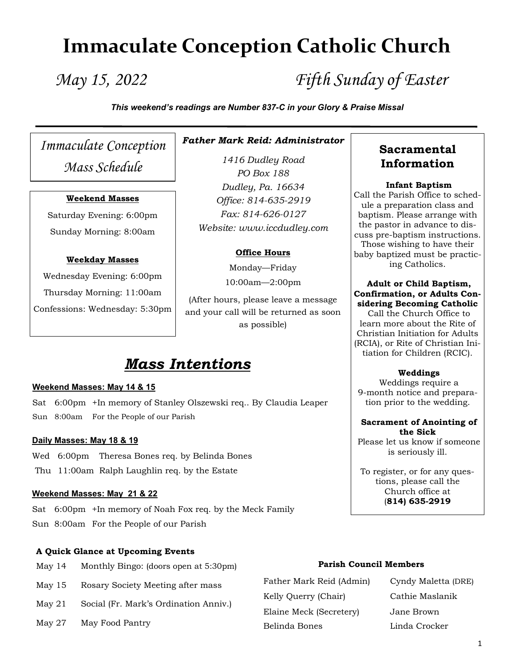# **Immaculate Conception Catholic Church**

*May 15, 2022 Fifth Sunday of Easter*

*This weekend's readings are Number 837-C in your Glory & Praise Missal*

*Immaculate Conception Mass Schedule*

#### **Weekend Masses**

Saturday Evening: 6:00pm Sunday Morning: 8:00am

#### **Weekday Masses**

Wednesday Evening: 6:00pm Thursday Morning: 11:00am Confessions: Wednesday: 5:30pm *Father Mark Reid: Administrator*

*1416 Dudley Road PO Box 188 Dudley, Pa. 16634 Office: 814-635-2919 Fax: 814-626-0127 Website: www.iccdudley.com*

#### **Office Hours**

Monday—Friday 10:00am—2:00pm

(After hours, please leave a message and your call will be returned as soon as possible)

# *Mass Intentions*

#### **Weekend Masses: May 14 & 15**

Sat 6:00pm +In memory of Stanley Olszewski req.. By Claudia Leaper Sun 8:00am For the People of our Parish

#### **Daily Masses: May 18 & 19**

Wed 6:00pm Theresa Bones req. by Belinda Bones Thu 11:00am Ralph Laughlin req. by the Estate

#### **Weekend Masses: May 21 & 22**

Sat 6:00pm +In memory of Noah Fox req. by the Meck Family Sun 8:00am For the People of our Parish

#### **A Quick Glance at Upcoming Events**

- May 14 Monthly Bingo: (doors open at 5:30pm)
- May 15 Rosary Society Meeting after mass
- May 21 Social (Fr. Mark's Ordination Anniv.)
- May 27 May Food Pantry

## **Sacramental Information**

#### **Infant Baptism**

Call the Parish Office to schedule a preparation class and baptism. Please arrange with the pastor in advance to discuss pre-baptism instructions. Those wishing to have their baby baptized must be practicing Catholics.

#### **Adult or Child Baptism, Confirmation, or Adults Considering Becoming Catholic**

Call the Church Office to learn more about the Rite of Christian Initiation for Adults (RCIA), or Rite of Christian Initiation for Children (RCIC).

#### **Weddings**

Weddings require a 9-month notice and preparation prior to the wedding.

#### **Sacrament of Anointing of the Sick**

Please let us know if someone is seriously ill.

To register, or for any questions, please call the Church office at (**814) 635-2919**

#### **Parish Council Members**

Father Mark Reid (Admin) Cyndy Maletta (DRE) Kelly Querry (Chair) Cathie Maslanik Elaine Meck (Secretery) Jane Brown Belinda Bones Linda Crocker